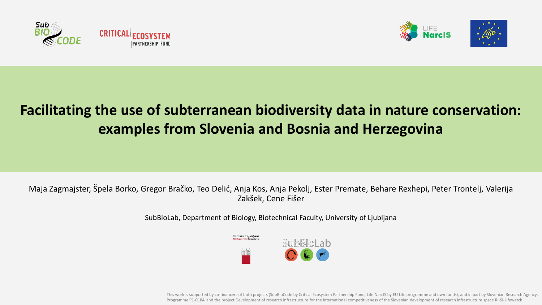





# **Facilitating the use of subterranean biodiversity data in nature conservation: examples from Slovenia and Bosnia and Herzegovina**

Maja Zagmajster, Špela Borko, Gregor Bračko, Teo Delić, Anja Kos, Anja Pekolj, Ester Premate, Behare Rexhepi, Peter Trontelj, Valerija Zakšek, Cene Fišer

SubBioLab, Department of Biology, Biotechnical Faculty, University of Ljubljana



This work is supported by co-financers of both projects (SubBioCode by Critical Ecosystem Partnership Fund, Life NarcIS by EU Life programme and own funds), and in part by Slovenian Research Agency, Programme P1-0184, and the project Development of research infrastructure for the international competitiveness of the Slovenian development of research infrastructure space RI-SI-Lifewatch.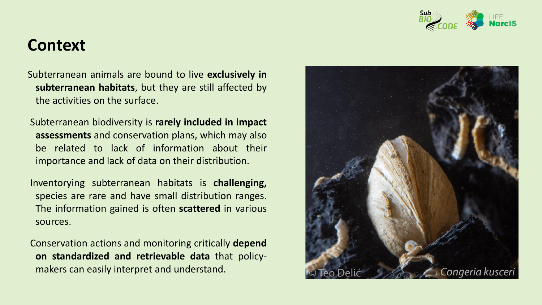

## **Context**

Subterranean animals are bound to live **exclusively in subterranean habitats**, but they are still affected by the activities on the surface.

Subterranean biodiversity is **rarely included in impact assessments** and conservation plans, which may also be related to lack of information about their importance and lack of data on their distribution.

Inventorying subterranean habitats is **challenging,** species are rare and have small distribution ranges. The information gained is often **scattered** in various sources.

Conservation actions and monitoring critically **depend on standardized and retrievable data** that policymakers can easily interpret and understand.

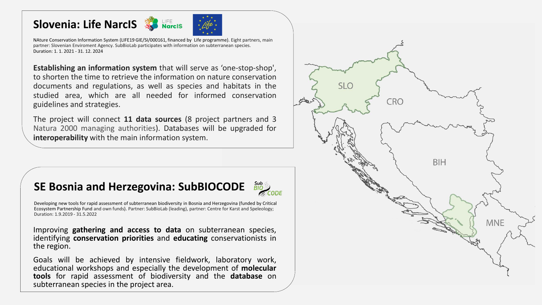#### **Slovenia: Life NarcIS**



NAture Conservation Information System (LIFE19 GIE/SI/000161, financed by Life programme). Eight partners, main partner: Slovenian Enviroment Agency. SubBioLab participates with information on subterranean species. Duration: 1. 1. 2021 - 31. 12. 2024

**Establishing an information system** that will serve as 'one-stop-shop', to shorten the time to retrieve the information on nature conservation documents and regulations, as well as species and habitats in the studied area, which are all needed for informed conservation guidelines and strategies.

The project will connect **11 data sources** (8 project partners and 3 Natura 2000 managing authorities). Databases will be upgraded for **interoperability** with the main information system.

#### **SE Bosnia and Herzegovina: SubBIOCODE**

Developing new tools for rapid assessment of subterranean biodiversity in Bosnia and Herzegovina (funded by Critical Ecosystem Partnership Fund and own funds). Partner: SubBioLab (leading), partner: Centre for Karst and Speleology; Duration: 1.9.2019 - 31.5.2022

Improving **gathering and access to data** on subterranean species, identifying **conservation priorities** and **educating** conservationists in the region.

Goals will be achieved by intensive fieldwork, laboratory work, educational workshops and especially the development of **molecular tools** for rapid assessment of biodiversity and the **database** on subterranean species in the project area.